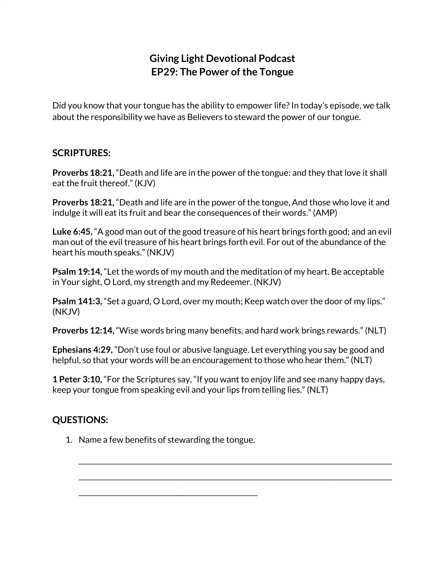## **Giving Light Devotional Podcast EP29: The Power of the Tongue**

Did you know that your tongue has the ability to empower life? In today's episode, we talk about the responsibility we have as Believers to steward the power of our tongue.

## **SCRIPTURES:**

**Proverbs 18:21,** "Death and life are in the power of the tongue: and they that love it shall eat the fruit thereof." (KJV)

**Proverbs 18:21,** "Death and life are in the power of the tongue, And those who love it and indulge it will eat its fruit and bear the consequences of their words." (AMP)

**Luke 6:45,** "A good man out of the good treasure of his heart brings forth good; and an evil man out of the evil treasure of his heart brings forth evil. For out of the abundance of the heart his mouth speaks." (NKJV)

**Psalm 19:14,** "Let the words of my mouth and the meditation of my heart. Be acceptable in Your sight, O Lord, my strength and my Redeemer. (NKJV)

**Psalm 141:3,** "Set a guard, O Lord, over my mouth; Keep watch over the door of my lips." (NKJV)

**Proverbs 12:14,** "Wise words bring many benefits, and hard work brings rewards." (NLT)

**Ephesians 4:29,** "Don't use foul or abusive language. Let everything you say be good and helpful, so that your words will be an encouragement to those who hear them." (NLT)

**1 Peter 3:10,** "For the Scriptures say, "If you want to enjoy life and see many happy days, keep your tongue from speaking evil and your lips from telling lies." (NLT)

\_\_\_\_\_\_\_\_\_\_\_\_\_\_\_\_\_\_\_\_\_\_\_\_\_\_\_\_\_\_\_\_\_\_\_\_\_\_\_\_\_\_\_\_\_\_\_\_\_\_\_\_\_\_\_\_\_\_\_\_\_\_\_\_\_\_\_\_\_\_\_\_\_\_\_\_\_\_\_\_\_\_\_\_\_\_\_\_\_\_\_

\_\_\_\_\_\_\_\_\_\_\_\_\_\_\_\_\_\_\_\_\_\_\_\_\_\_\_\_\_\_\_\_\_\_\_\_\_\_\_\_\_\_\_\_\_\_\_\_\_\_\_\_\_\_\_\_\_\_\_\_\_\_\_\_\_\_\_\_\_\_\_\_\_\_\_\_\_\_\_\_\_\_\_\_\_\_\_\_\_\_\_

## **QUESTIONS:**

1. Name a few benefits of stewarding the tongue.

\_\_\_\_\_\_\_\_\_\_\_\_\_\_\_\_\_\_\_\_\_\_\_\_\_\_\_\_\_\_\_\_\_\_\_\_\_\_\_\_\_\_\_\_\_\_\_\_\_\_\_\_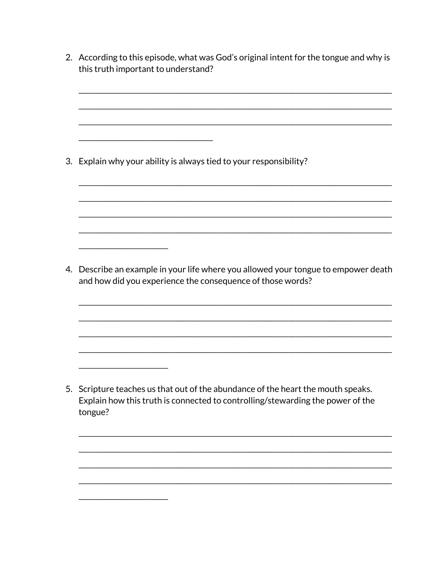| 2. According to this episode, what was God's original intent for the tongue and why is<br>this truth important to understand?                                                 |
|-------------------------------------------------------------------------------------------------------------------------------------------------------------------------------|
| 3. Explain why your ability is always tied to your responsibility?                                                                                                            |
| 4. Describe an example in your life where you allowed your tongue to empower death<br>and how did you experience the consequence of those words?                              |
|                                                                                                                                                                               |
| 5. Scripture teaches us that out of the abundance of the heart the mouth speaks.<br>Explain how this truth is connected to controlling/stewarding the power of the<br>tongue? |
|                                                                                                                                                                               |
|                                                                                                                                                                               |
|                                                                                                                                                                               |
|                                                                                                                                                                               |